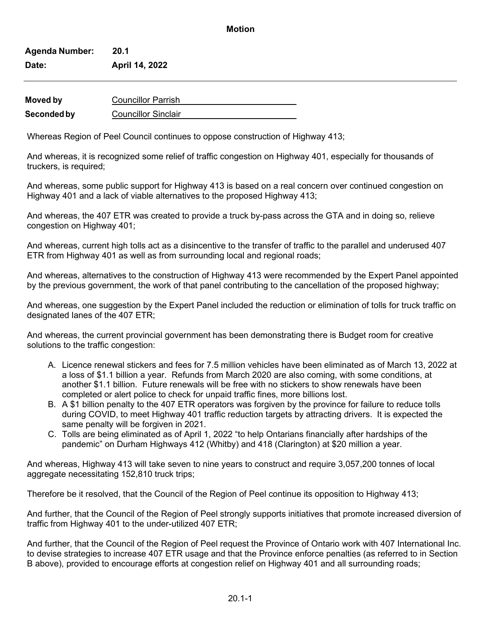## **Motion**

| <b>Agenda Number:</b><br>Date: | 20.1                      |  |
|--------------------------------|---------------------------|--|
|                                | April 14, 2022            |  |
|                                |                           |  |
| <b>Moved by</b>                | <b>Councillor Parrish</b> |  |

**Seconded by** Councillor Sinclair

Whereas Region of Peel Council continues to oppose construction of Highway 413;

And whereas, it is recognized some relief of traffic congestion on Highway 401, especially for thousands of truckers, is required;

And whereas, some public support for Highway 413 is based on a real concern over continued congestion on Highway 401 and a lack of viable alternatives to the proposed Highway 413;

And whereas, the 407 ETR was created to provide a truck by-pass across the GTA and in doing so, relieve congestion on Highway 401;

And whereas, current high tolls act as a disincentive to the transfer of traffic to the parallel and underused 407 ETR from Highway 401 as well as from surrounding local and regional roads;

And whereas, alternatives to the construction of Highway 413 were recommended by the Expert Panel appointed by the previous government, the work of that panel contributing to the cancellation of the proposed highway;

And whereas, one suggestion by the Expert Panel included the reduction or elimination of tolls for truck traffic on designated lanes of the 407 ETR;

And whereas, the current provincial government has been demonstrating there is Budget room for creative solutions to the traffic congestion:

- A. Licence renewal stickers and fees for 7.5 million vehicles have been eliminated as of March 13, 2022 at a loss of \$1.1 billion a year. Refunds from March 2020 are also coming, with some conditions, at another \$1.1 billion. Future renewals will be free with no stickers to show renewals have been completed or alert police to check for unpaid traffic fines, more billions lost.
- B. A \$1 billion penalty to the 407 ETR operators was forgiven by the province for failure to reduce tolls during COVID, to meet Highway 401 traffic reduction targets by attracting drivers. It is expected the same penalty will be forgiven in 2021.
- C. Tolls are being eliminated as of April 1, 2022 "to help Ontarians financially after hardships of the pandemic" on Durham Highways 412 (Whitby) and 418 (Clarington) at \$20 million a year.

And whereas, Highway 413 will take seven to nine years to construct and require 3,057,200 tonnes of local aggregate necessitating 152,810 truck trips;

Therefore be it resolved, that the Council of the Region of Peel continue its opposition to Highway 413;

And further, that the Council of the Region of Peel strongly supports initiatives that promote increased diversion of traffic from Highway 401 to the under-utilized 407 ETR;

And further, that the Council of the Region of Peel request the Province of Ontario work with 407 International Inc. to devise strategies to increase 407 ETR usage and that the Province enforce penalties (as referred to in Section B above), provided to encourage efforts at congestion relief on Highway 401 and all surrounding roads;